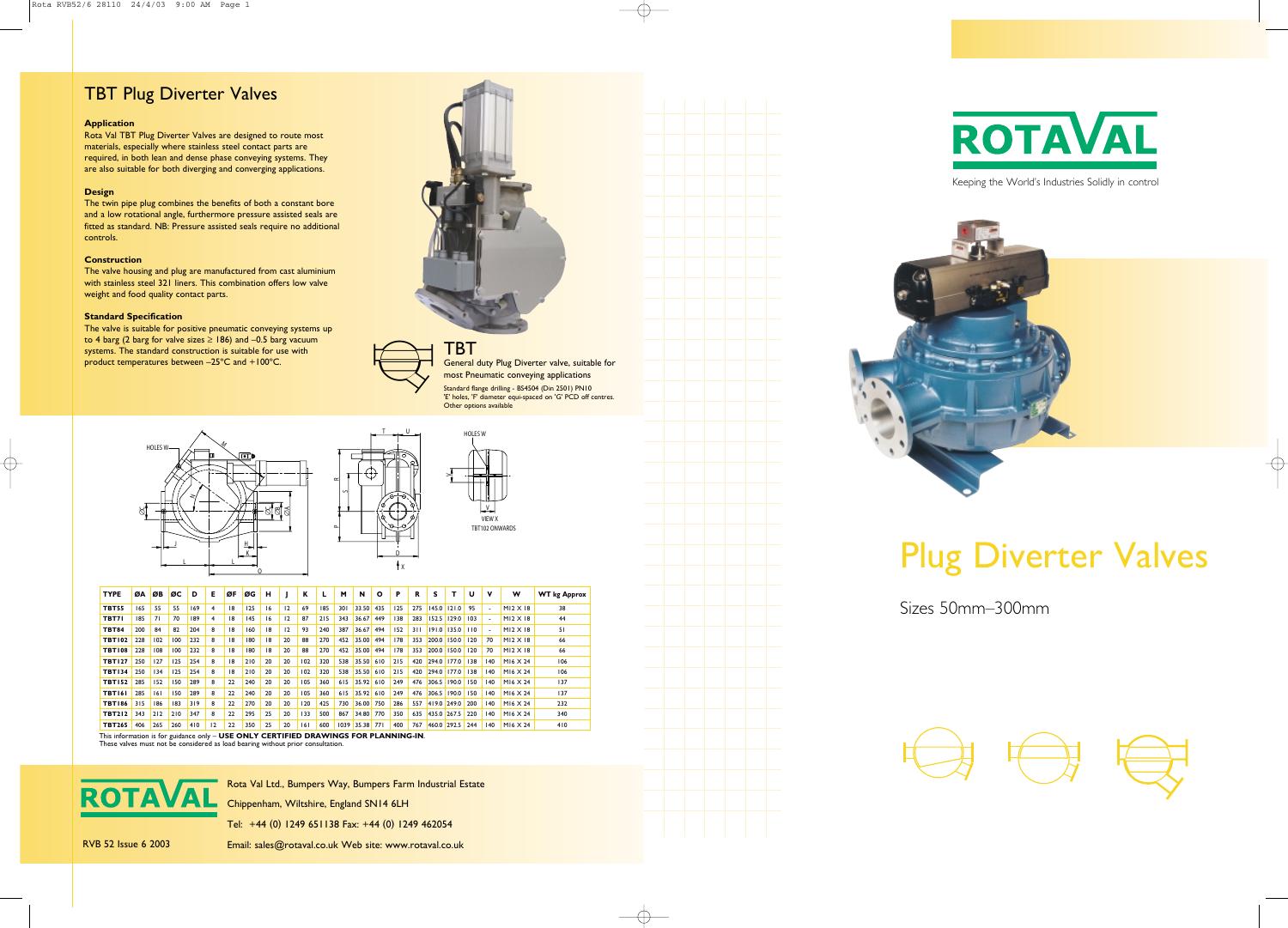Keeping the World's Industries Solidly in control



Rota Val Ltd., Bumpers Way, Bumpers Farm Industrial Estate

Chippenham, Wiltshire, England SN14 6LH

Tel: +44 (0) 1249 651138 Fax: +44 (0) 1249 462054

RVB 52 Issue 6 2003 Email: sales@rotaval.co.uk Web site: www.rotaval.co.uk



![](_page_0_Picture_25.jpeg)

# Plug Diverter Valves

Sizes 50mm–300mm

![](_page_0_Figure_30.jpeg)

#### **Application**

Rota Val TBT Plug Diverter Valves are designed to route most materials, especially where stainless steel contact parts are required, in both lean and dense phase conveying systems. They are also suitable for both diverging and converging applications.

#### **Design**

The twin pipe plug combines the benefits of both a constant bore and a low rotational angle, furthermore pressure assisted seals are fitted as standard. NB: Pressure assisted seals require no additional controls.

#### **Construction**

The valve housing and plug are manufactured from cast aluminium with stainless steel 321 liners. This combination offers low valve weight and food quality contact parts.

#### **Standard Specification**

The valve is suitable for positive pneumatic conveying systems up to 4 barg (2 barg for valve sizes  $\ge$  186) and -0.5 barg vacuum systems. The standard construction is suitable for use with product temperatures between –25ºC and +100ºC.

![](_page_0_Picture_9.jpeg)

![](_page_0_Picture_10.jpeg)

TBT General duty Plug Diverter valve, suitable for most Pneumatic conveying applications Standard flange drilling - BS4504 (Din 2501) PN10 'E' holes, 'F' diameter equi-spaced on 'G' PCD off centres. Other options available

## TBT Plug Diverter Valves

D

X

![](_page_0_Figure_13.jpeg)

![](_page_0_Figure_12.jpeg)

U

 $\overline{1}$ 

| <b>TYPE</b>   | ØΑ  | ØB  | ØC  | D   | E              | ØF | ØG  | н  |    | К   |     | м    | N     | Ο   | Р   | R   | s           |             | U   | v                        | w               | <b>WT</b> kg Approx |
|---------------|-----|-----|-----|-----|----------------|----|-----|----|----|-----|-----|------|-------|-----|-----|-----|-------------|-------------|-----|--------------------------|-----------------|---------------------|
| <b>TBT55</b>  | 165 | 55  | 55  | 169 | $\overline{4}$ | 18 | 125 | 16 | 12 | 69  | 185 | 301  | 33.50 | 435 | 125 | 275 | 145.0       | 121.0       | 95  | $\overline{a}$           | $M12 \times 18$ | 38                  |
| TBT71         | 185 | 71  | 70  | 189 | 4              | 18 | 145 | 16 | 12 | 87  | 215 | 343  | 36.67 | 449 | 138 | 283 | 152.5       | 129.0       | 103 | $\overline{a}$           | $M12 \times 18$ | 44                  |
| <b>TBT84</b>  | 200 | 84  | 82  | 204 | 8              | 18 | 160 | 18 | 12 | 93  | 240 | 387  | 36.67 | 494 | 152 | 311 | 191.0       | 135.0       | 110 | $\overline{\phantom{a}}$ | $M12 \times 18$ | 51                  |
| <b>TBT102</b> | 228 | 102 | 100 | 232 | 8              | 18 | 180 | 18 | 20 | 88  | 270 | 452  | 35.00 | 494 | 178 | 353 |             | 200.0 150.0 | 120 | 70                       | $M12 \times 18$ | 66                  |
| <b>TBT108</b> | 228 | 108 | 100 | 232 | 8              | 18 | 180 | 18 | 20 | 88  | 270 | 452  | 35.00 | 494 | 178 | 353 | 200.0       | 150.0       | 120 | 70                       | $M12 \times 18$ | 66                  |
| <b>TBT127</b> | 250 | 127 | 125 | 254 | 8              | 18 | 210 | 20 | 20 | 102 | 320 | 538  | 35.50 | 610 | 215 | 420 |             | 294.0 177.0 | 138 | 140                      | M16 X 24        | 106                 |
| <b>TBT134</b> | 250 | 134 | 125 | 254 | 8              | 18 | 210 | 20 | 20 | 102 | 320 | 538  | 35.50 | 610 | 215 | 420 | 294.0       | 177.0       | 138 | 140                      | M16 X 24        | 106                 |
| <b>TBT152</b> | 285 | 152 | 150 | 289 | 8              | 22 | 240 | 20 | 20 | 105 | 360 | 615  | 35.92 | 610 | 249 | 476 | 306.5       | 190.0       | 150 | 140                      | M16 X 24        | 137                 |
| <b>TBT161</b> | 285 | 161 | 150 | 289 | 8              | 22 | 240 | 20 | 20 | 105 | 360 | 615  | 35.92 | 610 | 249 | 476 | 306.5       | 190.0       | 150 | 140                      | $M16 \times 24$ | 137                 |
| <b>TBT186</b> | 315 | 186 | 83  | 319 | 8              | 22 | 270 | 20 | 20 | 120 | 425 | 730  | 36.00 | 750 | 286 | 557 | 419.0 249.0 |             | 200 | 140                      | $M16 \times 24$ | 232                 |
| <b>TBT212</b> | 343 | 212 | 210 | 347 | 8              | 22 | 295 | 25 | 20 | 133 | 500 | 867  | 34.80 | 770 | 350 | 635 |             | 435.0 267.5 | 220 | 140                      | $M16 \times 24$ | 340                 |
| <b>TBT265</b> | 406 | 265 | 260 | 410 | 12             | 22 | 350 | 25 | 20 | 6   | 600 | 1039 | 35.38 | 77  | 400 | 767 |             | 460.0 292.5 | 244 | 140                      | MI6 $\times$ 24 | 410                 |

ے

Un  $\scriptstyle \alpha$ 

This information is for guidance only – **USE ONLY CERTIFIED DRAWINGS FOR PLANNING-IN**. These valves must not be considered as load bearing without prior consultation.

![](_page_0_Picture_16.jpeg)